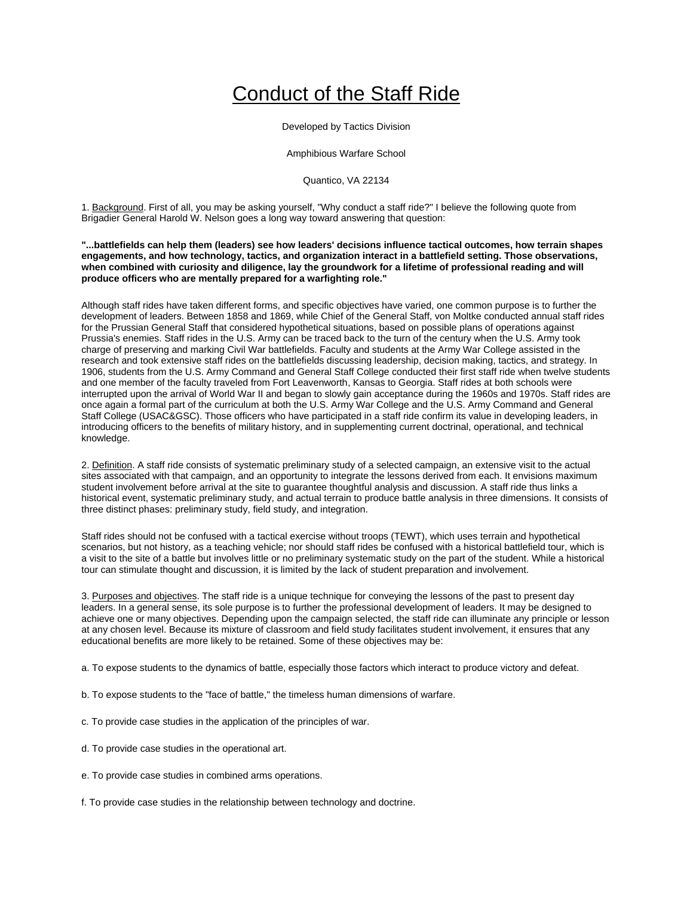## Conduct of the Staff Ride

Developed by Tactics Division

Amphibious Warfare School

Quantico, VA 22134

1. Background. First of all, you may be asking yourself, "Why conduct a staff ride?" I believe the following quote from Brigadier General Harold W. Nelson goes a long way toward answering that question:

**"...battlefields can help them (leaders) see how leaders' decisions influence tactical outcomes, how terrain shapes engagements, and how technology, tactics, and organization interact in a battlefield setting. Those observations, when combined with curiosity and diligence, lay the groundwork for a lifetime of professional reading and will produce officers who are mentally prepared for a warfighting role."**

Although staff rides have taken different forms, and specific objectives have varied, one common purpose is to further the development of leaders. Between 1858 and 1869, while Chief of the General Staff, von Moltke conducted annual staff rides for the Prussian General Staff that considered hypothetical situations, based on possible plans of operations against Prussia's enemies. Staff rides in the U.S. Army can be traced back to the turn of the century when the U.S. Army took charge of preserving and marking Civil War battlefields. Faculty and students at the Army War College assisted in the research and took extensive staff rides on the battlefields discussing leadership, decision making, tactics, and strategy. In 1906, students from the U.S. Army Command and General Staff College conducted their first staff ride when twelve students and one member of the faculty traveled from Fort Leavenworth, Kansas to Georgia. Staff rides at both schools were interrupted upon the arrival of World War II and began to slowly gain acceptance during the 1960s and 1970s. Staff rides are once again a formal part of the curriculum at both the U.S. Army War College and the U.S. Army Command and General Staff College (USAC&GSC). Those officers who have participated in a staff ride confirm its value in developing leaders, in introducing officers to the benefits of military history, and in supplementing current doctrinal, operational, and technical knowledge.

2. Definition. A staff ride consists of systematic preliminary study of a selected campaign, an extensive visit to the actual sites associated with that campaign, and an opportunity to integrate the lessons derived from each. It envisions maximum student involvement before arrival at the site to guarantee thoughtful analysis and discussion. A staff ride thus links a historical event, systematic preliminary study, and actual terrain to produce battle analysis in three dimensions. It consists of three distinct phases: preliminary study, field study, and integration.

Staff rides should not be confused with a tactical exercise without troops (TEWT), which uses terrain and hypothetical scenarios, but not history, as a teaching vehicle; nor should staff rides be confused with a historical battlefield tour, which is a visit to the site of a battle but involves little or no preliminary systematic study on the part of the student. While a historical tour can stimulate thought and discussion, it is limited by the lack of student preparation and involvement.

3. Purposes and objectives. The staff ride is a unique technique for conveying the lessons of the past to present day leaders. In a general sense, its sole purpose is to further the professional development of leaders. It may be designed to achieve one or many objectives. Depending upon the campaign selected, the staff ride can illuminate any principle or lesson at any chosen level. Because its mixture of classroom and field study facilitates student involvement, it ensures that any educational benefits are more likely to be retained. Some of these objectives may be:

a. To expose students to the dynamics of battle, especially those factors which interact to produce victory and defeat.

b. To expose students to the "face of battle," the timeless human dimensions of warfare.

c. To provide case studies in the application of the principles of war.

d. To provide case studies in the operational art.

e. To provide case studies in combined arms operations.

f. To provide case studies in the relationship between technology and doctrine.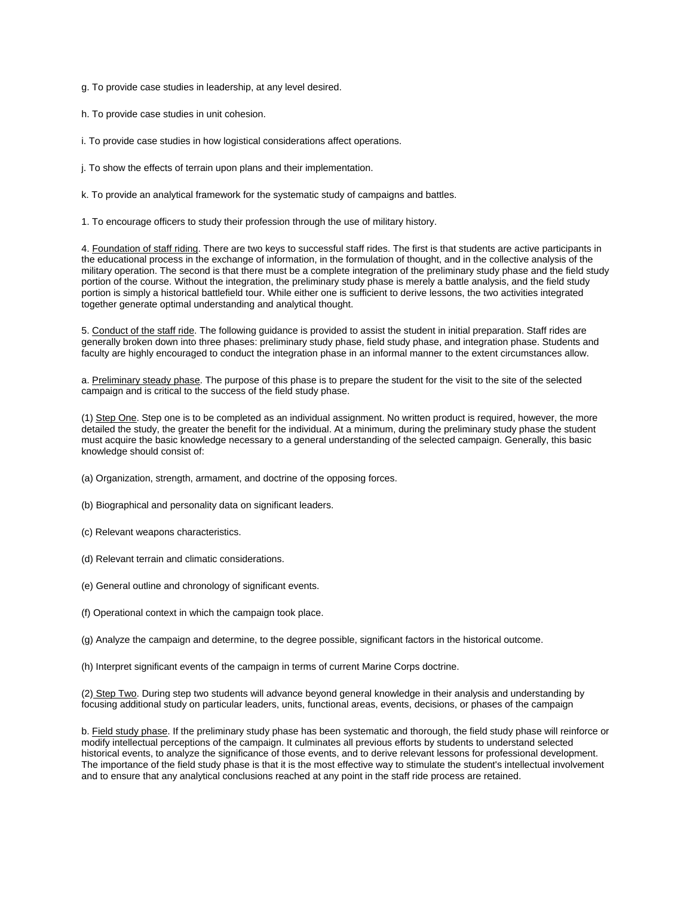g. To provide case studies in leadership, at any level desired.

h. To provide case studies in unit cohesion.

i. To provide case studies in how logistical considerations affect operations.

j. To show the effects of terrain upon plans and their implementation.

k. To provide an analytical framework for the systematic study of campaigns and battles.

1. To encourage officers to study their profession through the use of military history.

4. Foundation of staff riding. There are two keys to successful staff rides. The first is that students are active participants in the educational process in the exchange of information, in the formulation of thought, and in the collective analysis of the military operation. The second is that there must be a complete integration of the preliminary study phase and the field study portion of the course. Without the integration, the preliminary study phase is merely a battle analysis, and the field study portion is simply a historical battlefield tour. While either one is sufficient to derive lessons, the two activities integrated together generate optimal understanding and analytical thought.

5. Conduct of the staff ride. The following guidance is provided to assist the student in initial preparation. Staff rides are generally broken down into three phases: preliminary study phase, field study phase, and integration phase. Students and faculty are highly encouraged to conduct the integration phase in an informal manner to the extent circumstances allow.

a. Preliminary steady phase. The purpose of this phase is to prepare the student for the visit to the site of the selected campaign and is critical to the success of the field study phase.

(1) Step One. Step one is to be completed as an individual assignment. No written product is required, however, the more detailed the study, the greater the benefit for the individual. At a minimum, during the preliminary study phase the student must acquire the basic knowledge necessary to a general understanding of the selected campaign. Generally, this basic knowledge should consist of:

- (a) Organization, strength, armament, and doctrine of the opposing forces.
- (b) Biographical and personality data on significant leaders.
- (c) Relevant weapons characteristics.
- (d) Relevant terrain and climatic considerations.
- (e) General outline and chronology of significant events.
- (f) Operational context in which the campaign took place.

(g) Analyze the campaign and determine, to the degree possible, significant factors in the historical outcome.

(h) Interpret significant events of the campaign in terms of current Marine Corps doctrine.

(2) Step Two. During step two students will advance beyond general knowledge in their analysis and understanding by focusing additional study on particular leaders, units, functional areas, events, decisions, or phases of the campaign

b. Field study phase. If the preliminary study phase has been systematic and thorough, the field study phase will reinforce or modify intellectual perceptions of the campaign. It culminates all previous efforts by students to understand selected historical events, to analyze the significance of those events, and to derive relevant lessons for professional development. The importance of the field study phase is that it is the most effective way to stimulate the student's intellectual involvement and to ensure that any analytical conclusions reached at any point in the staff ride process are retained.